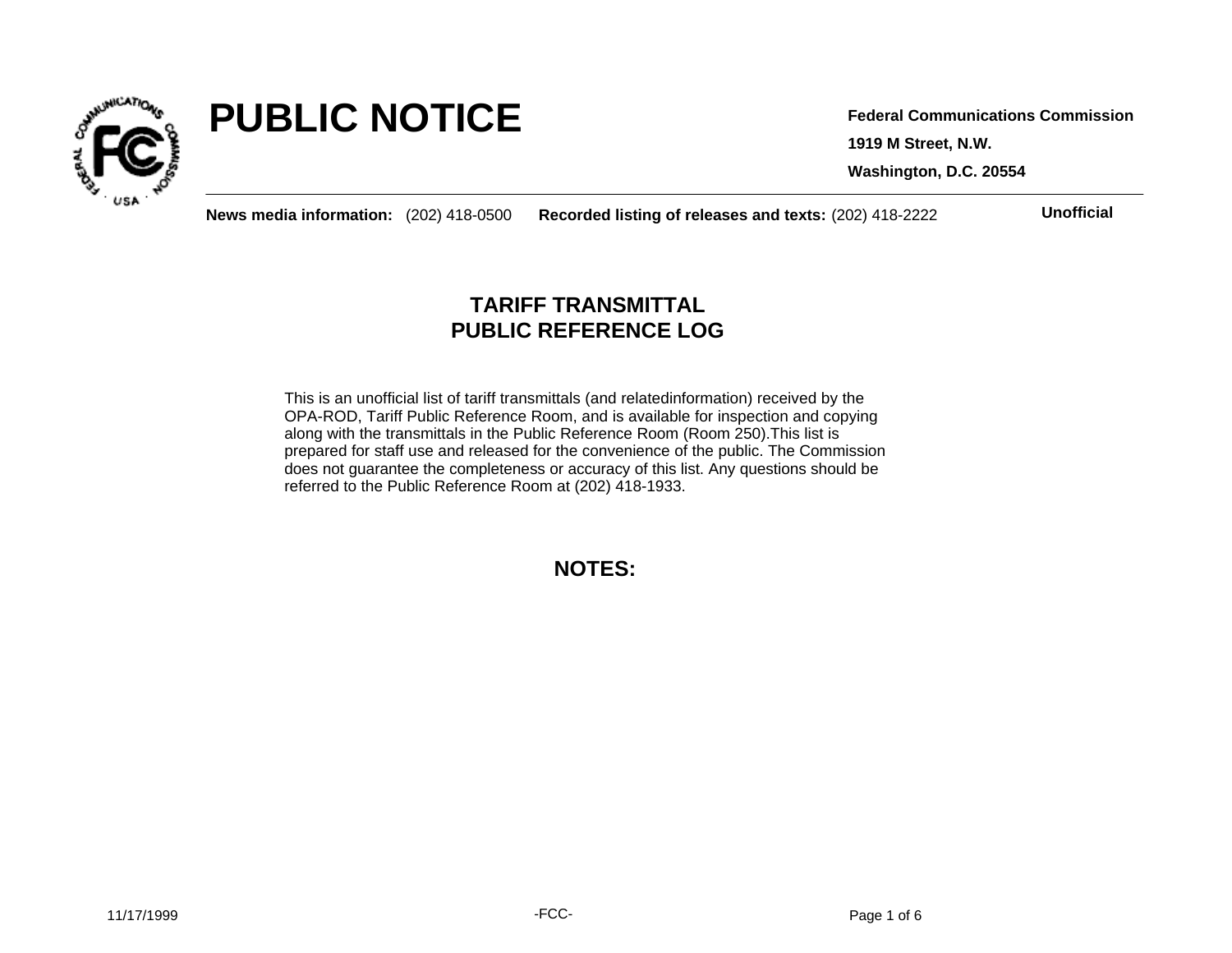

# **PUBLIC NOTICE**

**1919 M Street, N.W. Washington, D.C. 20554 Federal Communications Commission**

**News media information:** (202) 418-0500 **Recorded listing of releases and texts:** (202) 418-2222 **Unofficial**

## **TARIFF TRANSMITTAL PUBLIC REFERENCE LOG**

This is an unofficial list of tariff transmittals (and relatedinformation) received by the OPA-ROD, Tariff Public Reference Room, and is available for inspection and copying along with the transmittals in the Public Reference Room (Room 250).This list is prepared for staff use and released for the convenience of the public. The Commission does not guarantee the completeness or accuracy of this list. Any questions should be referred to the Public Reference Room at (202) 418-1933.

**NOTES:**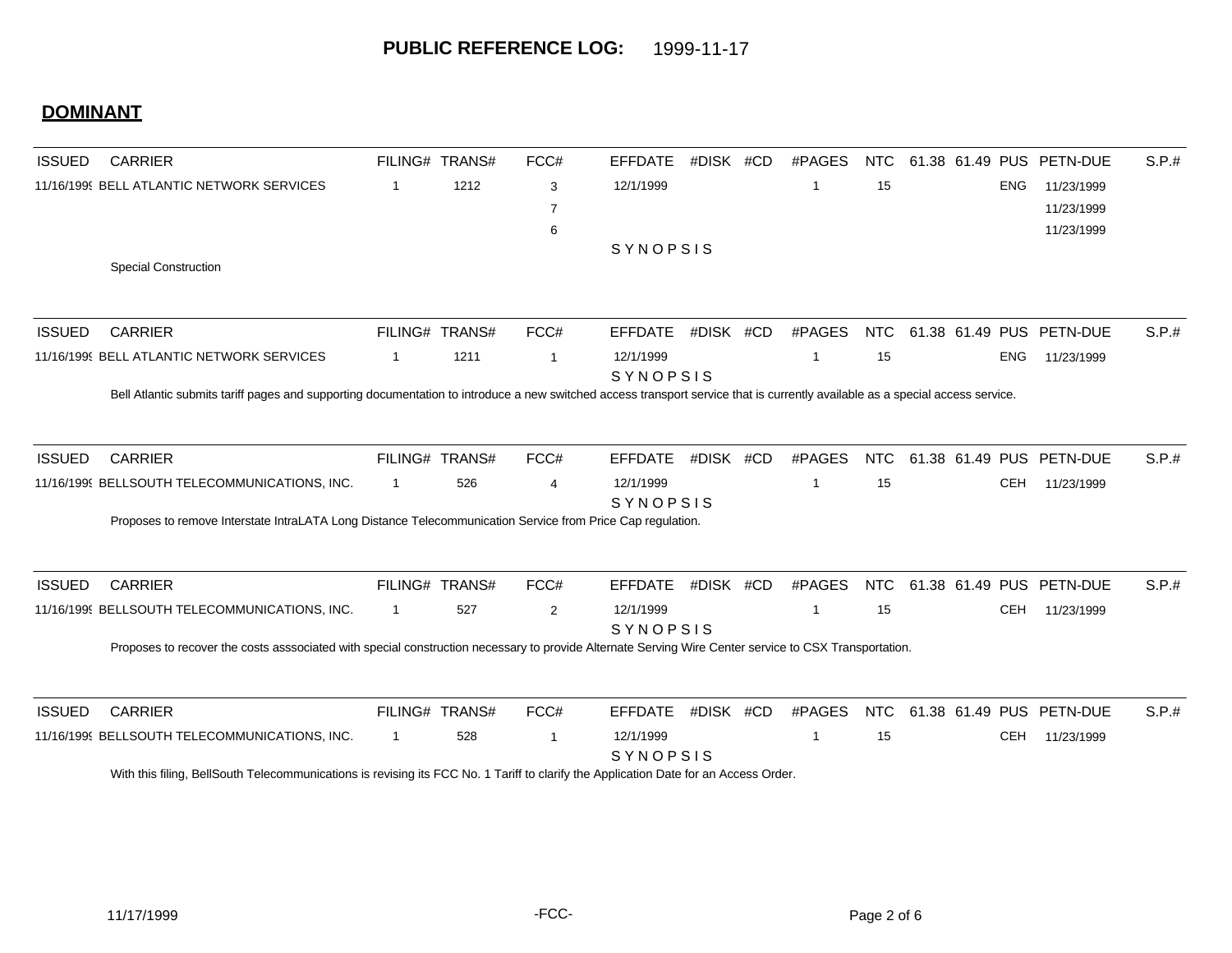## **DOMINANT**

| <b>ISSUED</b> | <b>CARRIER</b>                                                                                                                                                                |              | FILING# TRANS# | FCC#           | <b>EFFDATE</b>               | #DISK #CD | #PAGES      | NTC        |  |            | 61.38 61.49 PUS PETN-DUE | S.P.# |
|---------------|-------------------------------------------------------------------------------------------------------------------------------------------------------------------------------|--------------|----------------|----------------|------------------------------|-----------|-------------|------------|--|------------|--------------------------|-------|
|               | 11/16/1999 BELL ATLANTIC NETWORK SERVICES                                                                                                                                     | -1           | 1212           | 3              | 12/1/1999                    |           | -1          | 15         |  | <b>ENG</b> | 11/23/1999               |       |
|               |                                                                                                                                                                               |              |                | 7              |                              |           |             |            |  |            | 11/23/1999               |       |
|               |                                                                                                                                                                               |              |                | 6              |                              |           |             |            |  |            | 11/23/1999               |       |
|               |                                                                                                                                                                               |              |                |                | SYNOPSIS                     |           |             |            |  |            |                          |       |
|               | <b>Special Construction</b>                                                                                                                                                   |              |                |                |                              |           |             |            |  |            |                          |       |
|               |                                                                                                                                                                               |              |                |                |                              |           |             |            |  |            |                          |       |
| <b>ISSUED</b> | <b>CARRIER</b>                                                                                                                                                                |              | FILING# TRANS# | FCC#           | <b>EFFDATE</b>               | #DISK #CD | #PAGES      | <b>NTC</b> |  |            | 61.38 61.49 PUS PETN-DUE | S.P.# |
|               | 11/16/1999 BELL ATLANTIC NETWORK SERVICES                                                                                                                                     | -1           | 1211           | -1             | 12/1/1999                    |           | -1          | 15         |  | <b>ENG</b> | 11/23/1999               |       |
|               | Bell Atlantic submits tariff pages and supporting documentation to introduce a new switched access transport service that is currently available as a special access service. |              |                |                | <b>SYNOPSIS</b>              |           |             |            |  |            |                          |       |
|               |                                                                                                                                                                               |              |                |                |                              |           |             |            |  |            |                          |       |
|               |                                                                                                                                                                               |              |                |                |                              |           |             |            |  |            |                          |       |
| <b>ISSUED</b> | <b>CARRIER</b>                                                                                                                                                                |              | FILING# TRANS# | FCC#           | <b>EFFDATE</b>               | #DISK #CD | #PAGES      | <b>NTC</b> |  |            | 61.38 61.49 PUS PETN-DUE | S.P.# |
|               | 11/16/1999 BELLSOUTH TELECOMMUNICATIONS, INC.                                                                                                                                 | $\mathbf{1}$ | 526            | $\overline{4}$ | 12/1/1999<br><b>SYNOPSIS</b> |           | -1          | 15         |  | <b>CEH</b> | 11/23/1999               |       |
|               | Proposes to remove Interstate IntraLATA Long Distance Telecommunication Service from Price Cap regulation.                                                                    |              |                |                |                              |           |             |            |  |            |                          |       |
| <b>ISSUED</b> | <b>CARRIER</b>                                                                                                                                                                |              | FILING# TRANS# | FCC#           | <b>EFFDATE</b>               | #DISK #CD | #PAGES      | <b>NTC</b> |  |            | 61.38 61.49 PUS PETN-DUE | S.P.# |
|               | 11/16/1999 BELLSOUTH TELECOMMUNICATIONS, INC.                                                                                                                                 | $\mathbf{1}$ | 527            | $\overline{2}$ | 12/1/1999                    |           | $\mathbf 1$ | 15         |  | <b>CEH</b> | 11/23/1999               |       |
|               |                                                                                                                                                                               |              |                |                | SYNOPSIS                     |           |             |            |  |            |                          |       |
|               | Proposes to recover the costs asssociated with special construction necessary to provide Alternate Serving Wire Center service to CSX Transportation.                         |              |                |                |                              |           |             |            |  |            |                          |       |
| <b>ISSUED</b> | <b>CARRIER</b>                                                                                                                                                                |              | FILING# TRANS# | FCC#           | <b>EFFDATE</b>               | #DISK #CD | #PAGES      | <b>NTC</b> |  |            | 61.38 61.49 PUS PETN-DUE | S.P.# |
|               | 11/16/1999 BELLSOUTH TELECOMMUNICATIONS, INC.                                                                                                                                 | $\mathbf{1}$ | 528            | $\overline{1}$ | 12/1/1999                    |           | -1          | 15         |  | <b>CEH</b> | 11/23/1999               |       |
|               |                                                                                                                                                                               |              |                |                | <b>SYNOPSIS</b>              |           |             |            |  |            |                          |       |
|               | With this filing, BellSouth Telecommunications is revising its FCC No. 1 Tariff to clarify the Application Date for an Access Order.                                          |              |                |                |                              |           |             |            |  |            |                          |       |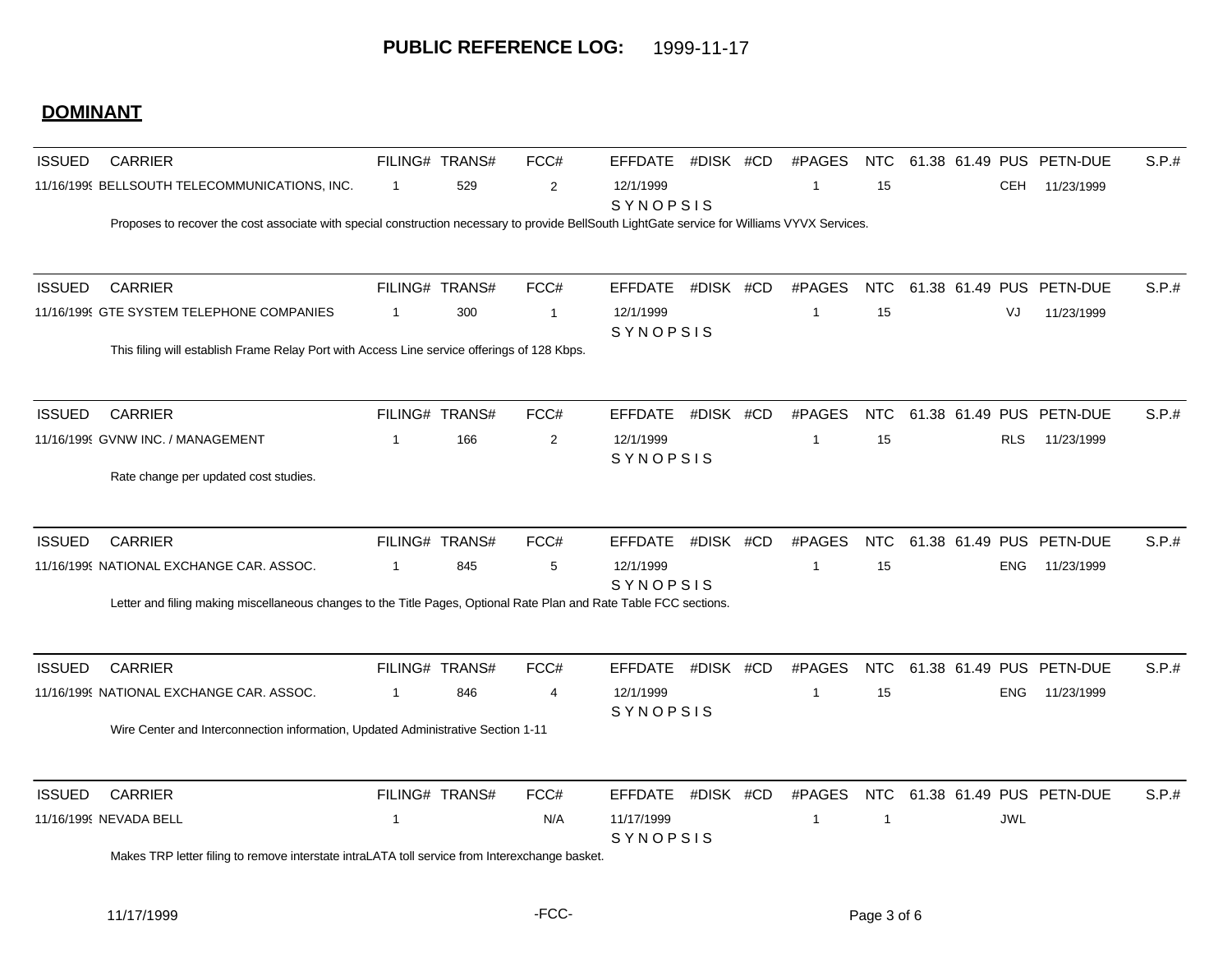## **DOMINANT**

| <b>ISSUED</b> | <b>CARRIER</b>                                                                                                                                |                | FILING# TRANS# | FCC#           | <b>EFFDATE</b>                | #DISK #CD | #PAGES         | <b>NTC</b> |            | 61.38 61.49 PUS PETN-DUE | S.P.# |
|---------------|-----------------------------------------------------------------------------------------------------------------------------------------------|----------------|----------------|----------------|-------------------------------|-----------|----------------|------------|------------|--------------------------|-------|
|               | 11/16/1999 BELLSOUTH TELECOMMUNICATIONS, INC.                                                                                                 | $\overline{1}$ | 529            | $\overline{2}$ | 12/1/1999<br>SYNOPSIS         |           | -1             | 15         | <b>CEH</b> | 11/23/1999               |       |
|               | Proposes to recover the cost associate with special construction necessary to provide BellSouth LightGate service for Williams VYVX Services. |                |                |                |                               |           |                |            |            |                          |       |
| <b>ISSUED</b> | <b>CARRIER</b>                                                                                                                                |                | FILING# TRANS# | FCC#           | <b>EFFDATE</b>                | #DISK #CD | #PAGES         | <b>NTC</b> |            | 61.38 61.49 PUS PETN-DUE | S.P.# |
|               | 11/16/1999 GTE SYSTEM TELEPHONE COMPANIES                                                                                                     | $\overline{1}$ | 300            | $\overline{1}$ | 12/1/1999<br>SYNOPSIS         |           | -1             | 15         | VJ         | 11/23/1999               |       |
|               | This filing will establish Frame Relay Port with Access Line service offerings of 128 Kbps.                                                   |                |                |                |                               |           |                |            |            |                          |       |
| <b>ISSUED</b> | <b>CARRIER</b>                                                                                                                                |                | FILING# TRANS# | FCC#           | <b>EFFDATE</b>                | #DISK #CD | #PAGES         | <b>NTC</b> |            | 61.38 61.49 PUS PETN-DUE | S.P.# |
|               | 11/16/1999 GVNW INC. / MANAGEMENT                                                                                                             | $\overline{1}$ | 166            | 2              | 12/1/1999<br>SYNOPSIS         |           | $\overline{1}$ | 15         | <b>RLS</b> | 11/23/1999               |       |
|               | Rate change per updated cost studies.                                                                                                         |                |                |                |                               |           |                |            |            |                          |       |
| <b>ISSUED</b> | <b>CARRIER</b>                                                                                                                                |                | FILING# TRANS# | FCC#           | <b>EFFDATE</b>                | #DISK #CD | #PAGES         | <b>NTC</b> |            | 61.38 61.49 PUS PETN-DUE | S.P.# |
|               | 11/16/1999 NATIONAL EXCHANGE CAR. ASSOC.                                                                                                      | 1              | 845            | 5              | 12/1/1999                     |           | -1             | 15         | <b>ENG</b> | 11/23/1999               |       |
|               | Letter and filing making miscellaneous changes to the Title Pages, Optional Rate Plan and Rate Table FCC sections.                            |                |                |                | SYNOPSIS                      |           |                |            |            |                          |       |
| <b>ISSUED</b> | <b>CARRIER</b>                                                                                                                                |                | FILING# TRANS# | FCC#           | <b>EFFDATE</b>                | #DISK #CD | #PAGES         | <b>NTC</b> |            | 61.38 61.49 PUS PETN-DUE | S.P.# |
|               | 11/16/1999 NATIONAL EXCHANGE CAR. ASSOC.                                                                                                      | $\overline{1}$ | 846            | $\overline{4}$ | 12/1/1999                     |           | $\overline{1}$ | 15         | <b>ENG</b> | 11/23/1999               |       |
|               | Wire Center and Interconnection information, Updated Administrative Section 1-11                                                              |                |                |                | SYNOPSIS                      |           |                |            |            |                          |       |
| <b>ISSUED</b> | <b>CARRIER</b>                                                                                                                                |                | FILING# TRANS# | FCC#           | <b>EFFDATE</b>                | #DISK #CD | #PAGES         | <b>NTC</b> |            | 61.38 61.49 PUS PETN-DUE | S.P.# |
|               | 11/16/1999 NEVADA BELL                                                                                                                        | $\overline{1}$ |                | N/A            | 11/17/1999<br><b>SYNOPSIS</b> |           | $\overline{1}$ | -1         | <b>JWL</b> |                          |       |
|               | Makes TRP letter filing to remove interstate intraLATA toll service from Interexchange basket.                                                |                |                |                |                               |           |                |            |            |                          |       |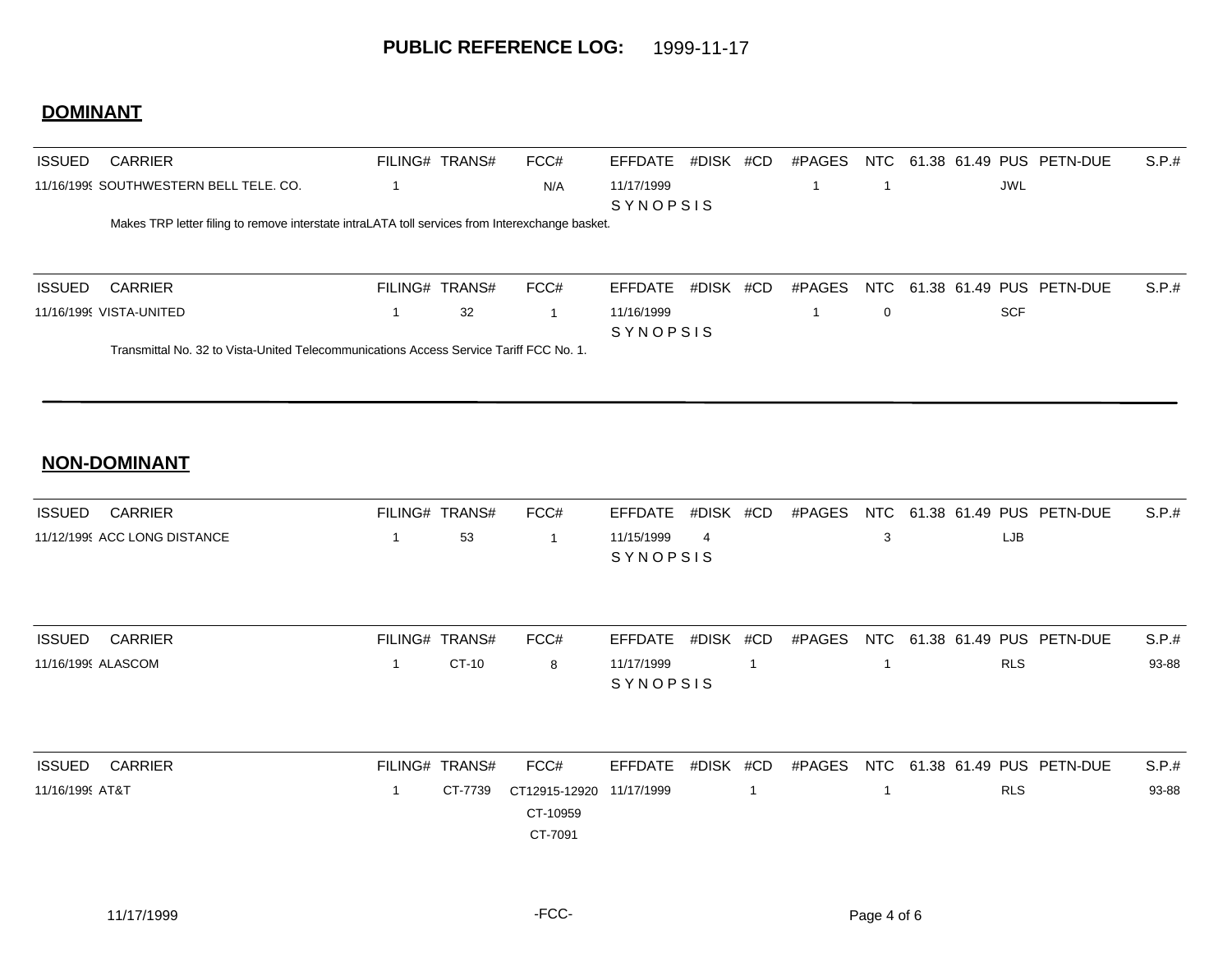## **DOMINANT**

| <b>ISSUED</b> | <b>CARRIER</b>                                                                                  | FILING# TRANS# |    | FCC# | EFFDATE         | #DISK | #CD | #PAGES | NTC      |            | 61.38 61.49 PUS PETN-DUE     | S.P.t. |
|---------------|-------------------------------------------------------------------------------------------------|----------------|----|------|-----------------|-------|-----|--------|----------|------------|------------------------------|--------|
|               | 11/16/1999 SOUTHWESTERN BELL TELE, CO.                                                          |                |    | N/A  | 11/17/1999      |       |     |        |          | JWL        |                              |        |
|               |                                                                                                 |                |    |      | <b>SYNOPSIS</b> |       |     |        |          |            |                              |        |
|               | Makes TRP letter filing to remove interstate intraLATA toll services from Interexchange basket. |                |    |      |                 |       |     |        |          |            |                              |        |
|               |                                                                                                 |                |    |      |                 |       |     |        |          |            |                              |        |
|               |                                                                                                 |                |    |      |                 |       |     |        |          |            |                              |        |
| <b>ISSUED</b> | <b>CARRIER</b>                                                                                  | FILING# TRANS# |    | FCC# | FFFDATF         | #DISK | #CD | #PAGES |          |            | NTC 61.38 61.49 PUS PETN-DUE | S.P.t. |
|               | 11/16/1999 VISTA-UNITED                                                                         |                | 32 |      | 11/16/1999      |       |     |        | $\Omega$ | <b>SCF</b> |                              |        |
|               |                                                                                                 |                |    |      | <b>SYNOPSIS</b> |       |     |        |          |            |                              |        |
|               | Transmittal No. 32 to Vista-United Telecommunications Access Service Tariff FCC No. 1.          |                |    |      |                 |       |     |        |          |            |                              |        |
|               |                                                                                                 |                |    |      |                 |       |     |        |          |            |                              |        |

#### **NON-DOMINANT**

| <b>ISSUED</b><br>CARRIER     | FILING# TRANS# | FCC# |                               | EFFDATE #DISK #CD | #PAGES | NTC 61.38 61.49 PUS PETN-DUE | S.P.# |
|------------------------------|----------------|------|-------------------------------|-------------------|--------|------------------------------|-------|
| 11/12/1999 ACC LONG DISTANCE | .53            |      | 11/15/1999<br><b>SYNOPSIS</b> |                   |        | LJB                          |       |
|                              |                |      |                               |                   |        |                              |       |

| <b>ISSUED</b><br>CARRIER | FILING# TRANS# |       | FCC# |                 |  | EFFDATE #DISK #CD #PAGES NTC 61.38 61.49 PUS PETN-DUE | S.P.# |
|--------------------------|----------------|-------|------|-----------------|--|-------------------------------------------------------|-------|
| 11/16/1999 ALASCOM       |                | CT-10 |      | 11/17/1999      |  | <b>RLS</b>                                            | 93-88 |
|                          |                |       |      | <b>SYNOPSIS</b> |  |                                                       |       |

| <b>ISSUED</b>   | CARRIER | FILING# TRANS# | FCC#                     |  |  |  |            | EFFDATE #DISK #CD #PAGES NTC 61.38 61.49 PUS PETN-DUE | S.P.# |
|-----------------|---------|----------------|--------------------------|--|--|--|------------|-------------------------------------------------------|-------|
| 11/16/1999 AT&T |         | CT-7739        | CT12915-12920 11/17/1999 |  |  |  | <b>RLS</b> |                                                       | 93-88 |
|                 |         |                | CT-10959                 |  |  |  |            |                                                       |       |
|                 |         |                | CT-7091                  |  |  |  |            |                                                       |       |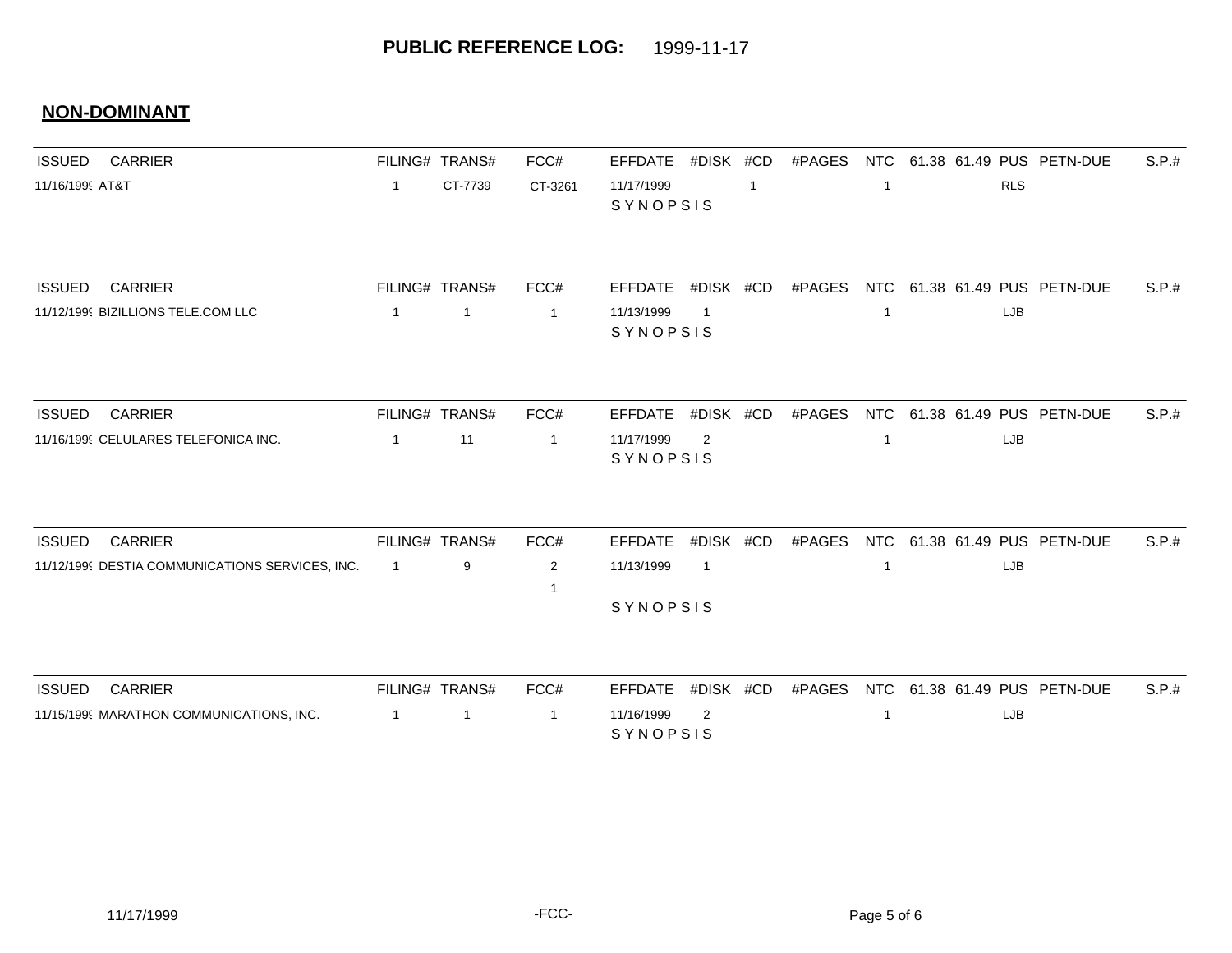#### **NON-DOMINANT**

| <b>ISSUED</b>   | <b>CARRIER</b>                                  |                | FILING# TRANS# | FCC#           | <b>EFFDATE</b>         | #DISK #CD      |              | #PAGES | <b>NTC</b>              | 61.38 61.49 PUS PETN-DUE     |            | S.P.# |
|-----------------|-------------------------------------------------|----------------|----------------|----------------|------------------------|----------------|--------------|--------|-------------------------|------------------------------|------------|-------|
| 11/16/1999 AT&T |                                                 | $\overline{1}$ | CT-7739        | CT-3261        | 11/17/1999<br>SYNOPSIS |                | $\mathbf{1}$ |        | -1                      |                              | <b>RLS</b> |       |
| <b>ISSUED</b>   | <b>CARRIER</b>                                  |                | FILING# TRANS# | FCC#           | <b>EFFDATE</b>         | #DISK #CD      |              | #PAGES |                         | NTC 61.38 61.49 PUS PETN-DUE |            | S.P.# |
|                 | 11/12/1999 BIZILLIONS TELE.COM LLC              | $\mathbf{1}$   | $\mathbf{1}$   | $\overline{1}$ | 11/13/1999<br>SYNOPSIS | $\overline{1}$ |              |        | $\overline{\mathbf{1}}$ |                              | LJB        |       |
| <b>ISSUED</b>   | <b>CARRIER</b>                                  |                | FILING# TRANS# | FCC#           | <b>EFFDATE</b>         | #DISK #CD      |              | #PAGES |                         | NTC 61.38 61.49 PUS PETN-DUE |            | S.P.# |
|                 | 11/16/1999 CELULARES TELEFONICA INC.            | $\overline{1}$ | 11             | $\overline{1}$ | 11/17/1999<br>SYNOPSIS | 2              |              |        | -1                      |                              | LJB        |       |
| <b>ISSUED</b>   | <b>CARRIER</b>                                  |                | FILING# TRANS# | FCC#           | <b>EFFDATE</b>         | #DISK #CD      |              | #PAGES |                         | NTC 61.38 61.49 PUS PETN-DUE |            | S.P.# |
|                 | 11/12/1999 DESTIA COMMUNICATIONS SERVICES, INC. | $\overline{1}$ | 9              | 2              | 11/13/1999             | $\mathbf{1}$   |              |        | -1                      |                              | LJB        |       |
|                 |                                                 |                |                |                | SYNOPSIS               |                |              |        |                         |                              |            |       |
| <b>ISSUED</b>   | <b>CARRIER</b>                                  |                | FILING# TRANS# | FCC#           | <b>EFFDATE</b>         | #DISK #CD      |              | #PAGES | <b>NTC</b>              | 61.38 61.49 PUS PETN-DUE     |            | S.P.# |
|                 | 11/15/1999 MARATHON COMMUNICATIONS, INC.        | $\overline{1}$ | 1              | $\overline{1}$ | 11/16/1999<br>SYNOPSIS | 2              |              |        | -1                      |                              | LJB        |       |